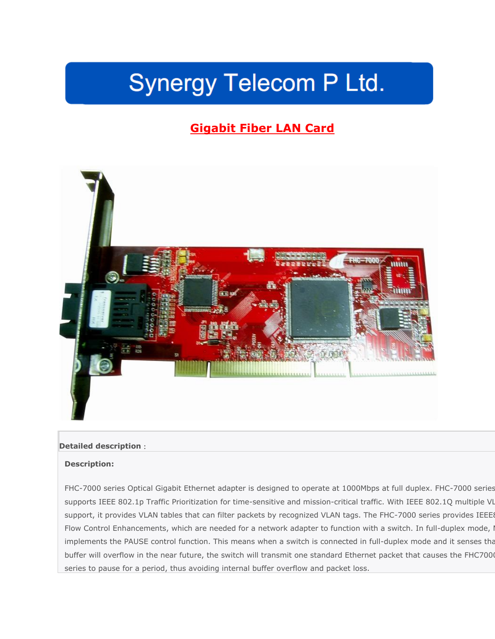# **Synergy Telecom P Ltd.**

# **Gigabit Fiber LAN Card**



## **Detailed description**:

#### **Description:**

FHC-7000 series Optical Gigabit Ethernet adapter is designed to operate at 1000Mbps at full duplex. FHC-7000 series supports IEEE 802.1p Traffic Prioritization for time-sensitive and mission-critical traffic. With IEEE 802.1Q multiple VI support, it provides VLAN tables that can filter packets by recognized VLAN tags. The FHC-7000 series provides IEEE Flow Control Enhancements, which are needed for a network adapter to function with a switch. In full-duplex mode, I implements the PAUSE control function. This means when a switch is connected in full-duplex mode and it senses tha buffer will overflow in the near future, the switch will transmit one standard Ethernet packet that causes the FHC7000 series to pause for a period, thus avoiding internal buffer overflow and packet loss.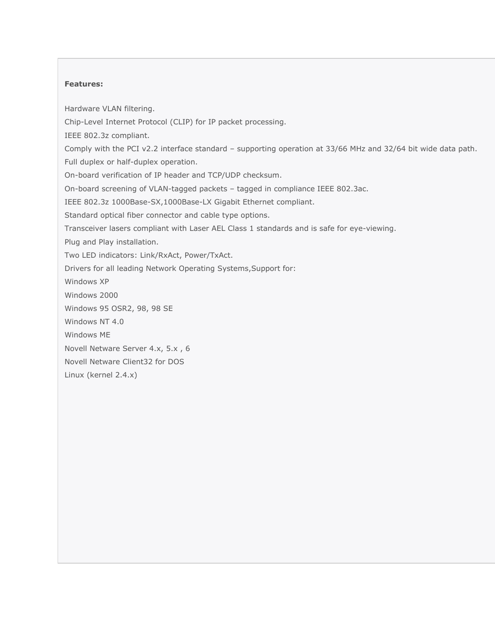## **Features:**

Hardware VLAN filtering. Chip-Level Internet Protocol (CLIP) for IP packet processing. IEEE 802.3z compliant. Comply with the PCI v2.2 interface standard – supporting operation at 33/66 MHz and 32/64 bit wide data path. Full duplex or half-duplex operation. On-board verification of IP header and TCP/UDP checksum. On-board screening of VLAN-tagged packets – tagged in compliance IEEE 802.3ac. IEEE 802.3z 1000Base-SX,1000Base-LX Gigabit Ethernet compliant. Standard optical fiber connector and cable type options. Transceiver lasers compliant with Laser AEL Class 1 standards and is safe for eye-viewing. Plug and Play installation. Two LED indicators: Link/RxAct, Power/TxAct. Drivers for all leading Network Operating Systems,Support for: Windows XP Windows 2000 Windows 95 OSR2, 98, 98 SE Windows NT 4.0 Windows ME Novell Netware Server 4.x, 5.x , 6 Novell Netware Client32 for DOS Linux (kernel 2.4.x)